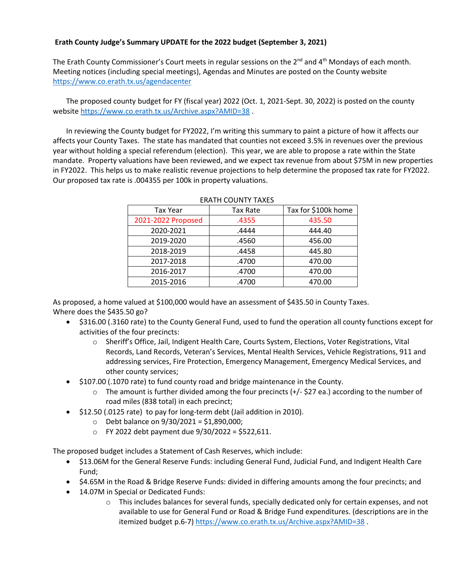## **Erath County Judge's Summary UPDATE for the 2022 budget (September 3, 2021)**

The Erath County Commissioner's Court meets in regular sessions on the  $2^{nd}$  and  $4^{th}$  Mondays of each month. Meeting notices (including special meetings), Agendas and Minutes are posted on the County website <https://www.co.erath.tx.us/agendacenter>

The proposed county budget for FY (fiscal year) 2022 (Oct. 1, 2021-Sept. 30, 2022) is posted on the county websit[e https://www.co.erath.tx.us/Archive.aspx?AMID=38](https://www.co.erath.tx.us/Archive.aspx?AMID=38) .

In reviewing the County budget for FY2022, I'm writing this summary to paint a picture of how it affects our affects your County Taxes. The state has mandated that counties not exceed 3.5% in revenues over the previous year without holding a special referendum (election). This year, we are able to propose a rate within the State mandate. Property valuations have been reviewed, and we expect tax revenue from about \$75M in new properties in FY2022. This helps us to make realistic revenue projections to help determine the proposed tax rate for FY2022. Our proposed tax rate is .004355 per 100k in property valuations.

| <b>Tax Year</b>    | <b>Tax Rate</b> | Tax for \$100k home |
|--------------------|-----------------|---------------------|
| 2021-2022 Proposed | .4355           | 435.50              |
| 2020-2021          | .4444           | 444.40              |
| 2019-2020          | .4560           | 456.00              |
| 2018-2019          | .4458           | 445.80              |
| 2017-2018          | .4700           | 470.00              |
| 2016-2017          | .4700           | 470.00              |
| 2015-2016          | .4700           | 470.00              |

## ERATH COUNTY TAXES

As proposed, a home valued at \$100,000 would have an assessment of \$435.50 in County Taxes. Where does the \$435.50 go?

- \$316.00 (.3160 rate) to the County General Fund, used to fund the operation all county functions except for activities of the four precincts:
	- o Sheriff's Office, Jail, Indigent Health Care, Courts System, Elections, Voter Registrations, Vital Records, Land Records, Veteran's Services, Mental Health Services, Vehicle Registrations, 911 and addressing services, Fire Protection, Emergency Management, Emergency Medical Services, and other county services;
- \$107.00 (.1070 rate) to fund county road and bridge maintenance in the County.
	- $\circ$  The amount is further divided among the four precincts (+/- \$27 ea.) according to the number of road miles (838 total) in each precinct;
- \$12.50 (.0125 rate) to pay for long-term debt (Jail addition in 2010).
	- $\circ$  Debt balance on 9/30/2021 = \$1,890,000;
	- $\circ$  FY 2022 debt payment due 9/30/2022 = \$522,611.

The proposed budget includes a Statement of Cash Reserves, which include:

- \$13.06M for the General Reserve Funds: including General Fund, Judicial Fund, and Indigent Health Care Fund;
- \$4.65M in the Road & Bridge Reserve Funds: divided in differing amounts among the four precincts; and
- 14.07M in Special or Dedicated Funds:
	- $\circ$  This includes balances for several funds, specially dedicated only for certain expenses, and not available to use for General Fund or Road & Bridge Fund expenditures. (descriptions are in the itemized budget p.6-7)<https://www.co.erath.tx.us/Archive.aspx?AMID=38> .